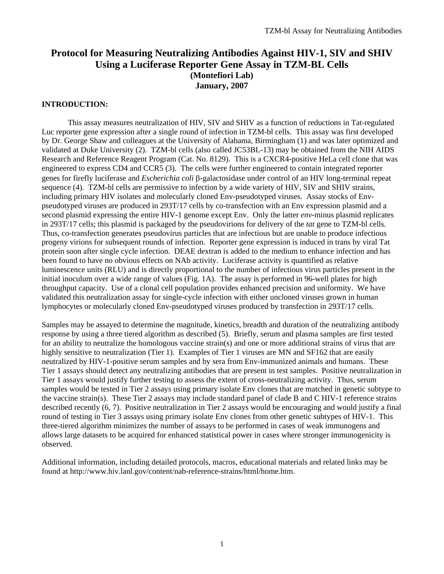## **Protocol for Measuring Neutralizing Antibodies Against HIV-1, SIV and SHIV Using a Luciferase Reporter Gene Assay in TZM-BL Cells (Montefiori Lab) January, 2007**

#### **INTRODUCTION:**

 This assay measures neutralization of HIV, SIV and SHIV as a function of reductions in Tat-regulated Luc reporter gene expression after a single round of infection in TZM-bl cells. This assay was first developed by Dr. George Shaw and colleagues at the University of Alabama, Birmingham (1) and was later optimized and validated at Duke University (2). TZM-bl cells (also called JC53BL-13) may be obtained from the NIH AIDS Research and Reference Reagent Program (Cat. No. 8129). This is a CXCR4-positive HeLa cell clone that was engineered to express CD4 and CCR5 (3). The cells were further engineered to contain integrated reporter genes for firefly luciferase and *Escherichia coli* β-galactosidase under control of an HIV long-terminal repeat sequence (4). TZM-bl cells are permissive to infection by a wide variety of HIV, SIV and SHIV strains, including primary HIV isolates and molecularly cloned Env-pseudotyped viruses. Assay stocks of Envpseudotyped viruses are produced in 293T/17 cells by co-transfection with an Env expression plasmid and a second plasmid expressing the entire HIV-1 genome except Env. Only the latter *env*-minus plasmid replicates in 293T/17 cells; this plasmid is packaged by the pseudovirions for delivery of the *tat* gene to TZM-bl cells. Thus, co-transfection generates pseudovirus particles that are infectious but are unable to produce infectious progeny virions for subsequent rounds of infection. Reporter gene expression is induced in trans by viral Tat protein soon after single cycle infection. DEAE dextran is added to the medium to enhance infection and has been found to have no obvious effects on NAb activity. Luciferase activity is quantified as relative luminescence units (RLU) and is directly proportional to the number of infectious virus particles present in the initial inoculum over a wide range of values (Fig. 1A). The assay is performed in 96-well plates for high throughput capacity. Use of a clonal cell population provides enhanced precision and uniformity. We have validated this neutralization assay for single-cycle infection with either uncloned viruses grown in human lymphocytes or molecularly cloned Env-pseudotyped viruses produced by transfection in 293T/17 cells.

Samples may be assayed to determine the magnitude, kinetics, breadth and duration of the neutralizing antibody response by using a three tiered algorithm as described (5). Briefly, serum and plasma samples are first tested for an ability to neutralize the homologous vaccine strain(s) and one or more additional strains of virus that are highly sensitive to neutralization (Tier 1). Examples of Tier 1 viruses are MN and SF162 that are easily neutralized by HIV-1-positive serum samples and by sera from Env-immunized animals and humans. These Tier 1 assays should detect any neutralizing antibodies that are present in test samples. Positive neutralization in Tier 1 assays would justify further testing to assess the extent of cross-neutralizing activity. Thus, serum samples would be tested in Tier 2 assays using primary isolate Env clones that are matched in genetic subtype to the vaccine strain(s). These Tier 2 assays may include standard panel of clade B and C HIV-1 reference strains described recently (6, 7). Positive neutralization in Tier 2 assays would be encouraging and would justify a final round of testing in Tier 3 assays using primary isolate Env clones from other genetic subtypes of HIV-1. This three-tiered algorithm minimizes the number of assays to be performed in cases of weak immunogens and allows large datasets to be acquired for enhanced statistical power in cases where stronger immunogenicity is observed.

Additional information, including detailed protocols, macros, educational materials and related links may be found at http://www.hiv.lanl.gov/content/nab-reference-strains/html/home.htm.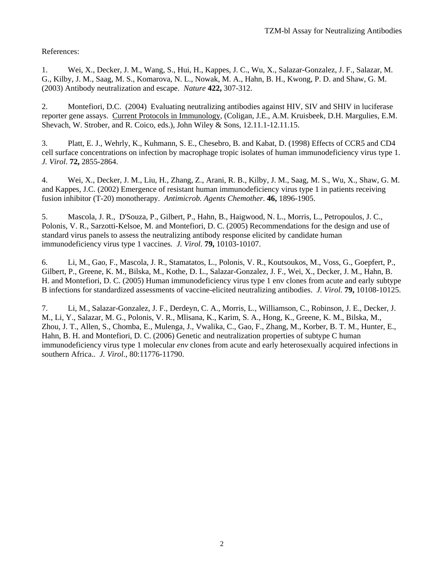References:

1. Wei, X., Decker, J. M., Wang, S., Hui, H., Kappes, J. C., Wu, X., Salazar-Gonzalez, J. F., Salazar, M. G., Kilby, J. M., Saag, M. S., Komarova, N. L., Nowak, M. A., Hahn, B. H., Kwong, P. D. and Shaw, G. M. (2003) Antibody neutralization and escape. *Nature* **422,** 307-312.

2. Montefiori, D.C. (2004) Evaluating neutralizing antibodies against HIV, SIV and SHIV in luciferase reporter gene assays. Current Protocols in Immunology, (Coligan, J.E., A.M. Kruisbeek, D.H. Margulies, E.M. Shevach, W. Strober, and R. Coico, eds.), John Wiley & Sons, 12.11.1-12.11.15.

3. Platt, E. J., Wehrly, K., Kuhmann, S. E., Chesebro, B. and Kabat, D. (1998) Effects of CCR5 and CD4 cell surface concentrations on infection by macrophage tropic isolates of human immunodeficiency virus type 1. *J. Virol*. **72,** 2855-2864.

4. Wei, X., Decker, J. M., Liu, H., Zhang, Z., Arani, R. B., Kilby, J. M., Saag, M. S., Wu, X., Shaw, G. M. and Kappes, J.C. (2002) Emergence of resistant human immunodeficiency virus type 1 in patients receiving fusion inhibitor (T-20) monotherapy. *Antimicrob. Agents Chemother*. **46,** 1896-1905.

5. Mascola, J. R., D'Souza, P., Gilbert, P., Hahn, B., Haigwood, N. L., Morris, L., Petropoulos, J. C., Polonis, V. R., Sarzotti-Kelsoe, M. and Montefiori, D. C. (2005) Recommendations for the design and use of standard virus panels to assess the neutralizing antibody response elicited by candidate human immunodeficiency virus type 1 vaccines. *J. Virol.* **79,** 10103-10107.

6. Li, M., Gao, F., Mascola, J. R., Stamatatos, L., Polonis, V. R., Koutsoukos, M., Voss, G., Goepfert, P., Gilbert, P., Greene, K. M., Bilska, M., Kothe, D. L., Salazar-Gonzalez, J. F., Wei, X., Decker, J. M., Hahn, B. H. and Montefiori, D. C. (2005) Human immunodeficiency virus type 1 env clones from acute and early subtype B infections for standardized assessments of vaccine-elicited neutralizing antibodies. *J. Virol.* **79,** 10108-10125.

7. Li, M., Salazar-Gonzalez, J. F., Derdeyn, C. A., Morris, L., Williamson, C., Robinson, J. E., Decker, J. M., Li, Y., Salazar, M. G., Polonis, V. R., Mlisana, K., Karim, S. A., Hong, K., Greene, K. M., Bilska, M., Zhou, J. T., Allen, S., Chomba, E., Mulenga, J., Vwalika, C., Gao, F., Zhang, M., Korber, B. T. M., Hunter, E., Hahn, B. H. and Montefiori, D. C. (2006) Genetic and neutralization properties of subtype C human immunodeficiency virus type 1 molecular *env* clones from acute and early heterosexually acquired infections in southern Africa.. *J. Virol*., 80:11776-11790.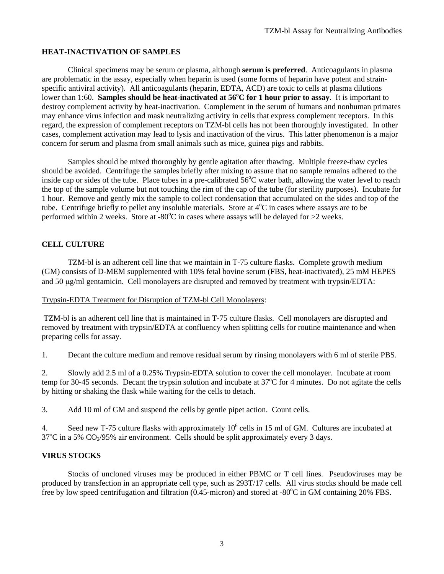## **HEAT-INACTIVATION OF SAMPLES**

Clinical specimens may be serum or plasma, although **serum is preferred**. Anticoagulants in plasma are problematic in the assay, especially when heparin is used (some forms of heparin have potent and strainspecific antiviral activity). All anticoagulants (heparin, EDTA, ACD) are toxic to cells at plasma dilutions lower than 1:60. Samples should be heat-inactivated at 56<sup>o</sup>C for 1 hour prior to assay. It is important to destroy complement activity by heat-inactivation. Complement in the serum of humans and nonhuman primates may enhance virus infection and mask neutralizing activity in cells that express complement receptors. In this regard, the expression of complement receptors on TZM-bl cells has not been thoroughly investigated. In other cases, complement activation may lead to lysis and inactivation of the virus. This latter phenomenon is a major concern for serum and plasma from small animals such as mice, guinea pigs and rabbits.

Samples should be mixed thoroughly by gentle agitation after thawing. Multiple freeze-thaw cycles should be avoided. Centrifuge the samples briefly after mixing to assure that no sample remains adhered to the inside cap or sides of the tube. Place tubes in a pre-calibrated  $56^{\circ}$ C water bath, allowing the water level to reach the top of the sample volume but not touching the rim of the cap of the tube (for sterility purposes). Incubate for 1 hour. Remove and gently mix the sample to collect condensation that accumulated on the sides and top of the tube. Centrifuge briefly to pellet any insoluble materials. Store at  $4^{\circ}$ C in cases where assays are to be performed within 2 weeks. Store at -80°C in cases where assays will be delayed for  $>2$  weeks.

## **CELL CULTURE**

 TZM-bl is an adherent cell line that we maintain in T-75 culture flasks. Complete growth medium (GM) consists of D-MEM supplemented with 10% fetal bovine serum (FBS, heat-inactivated), 25 mM HEPES and 50 μg/ml gentamicin. Cell monolayers are disrupted and removed by treatment with trypsin/EDTA:

#### Trypsin-EDTA Treatment for Disruption of TZM-bl Cell Monolayers:

TZM-bl is an adherent cell line that is maintained in T-75 culture flasks. Cell monolayers are disrupted and removed by treatment with trypsin/EDTA at confluency when splitting cells for routine maintenance and when preparing cells for assay*.* 

1. Decant the culture medium and remove residual serum by rinsing monolayers with 6 ml of sterile PBS.

2. Slowly add 2.5 ml of a 0.25% Trypsin-EDTA solution to cover the cell monolayer. Incubate at room temp for 30-45 seconds. Decant the trypsin solution and incubate at  $37^{\circ}$ C for 4 minutes. Do not agitate the cells by hitting or shaking the flask while waiting for the cells to detach.

3. Add 10 ml of GM and suspend the cells by gentle pipet action. Count cells.

4. Seed new T-75 culture flasks with approximately  $10^6$  cells in 15 ml of GM. Cultures are incubated at  $37^{\circ}$ C in a 5% CO<sub>2</sub>/95% air environment. Cells should be split approximately every 3 days.

#### **VIRUS STOCKS**

 Stocks of uncloned viruses may be produced in either PBMC or T cell lines. Pseudoviruses may be produced by transfection in an appropriate cell type, such as 293T/17 cells. All virus stocks should be made cell free by low speed centrifugation and filtration  $(0.45$ -micron) and stored at -80 $^{\circ}$ C in GM containing 20% FBS.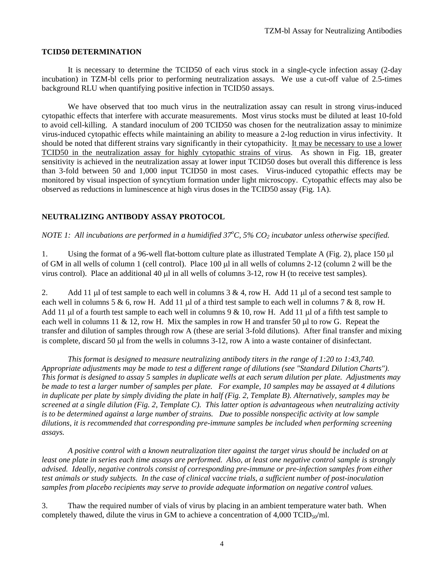#### **TCID50 DETERMINATION**

 It is necessary to determine the TCID50 of each virus stock in a single-cycle infection assay (2-day incubation) in TZM-bl cells prior to performing neutralization assays. We use a cut-off value of 2.5-times background RLU when quantifying positive infection in TCID50 assays.

 We have observed that too much virus in the neutralization assay can result in strong virus-induced cytopathic effects that interfere with accurate measurements. Most virus stocks must be diluted at least 10-fold to avoid cell-killing. A standard inoculum of 200 TCID50 was chosen for the neutralization assay to minimize virus-induced cytopathic effects while maintaining an ability to measure a 2-log reduction in virus infectivity. It should be noted that different strains vary significantly in their cytopathicity. It may be necessary to use a lower TCID50 in the neutralization assay for highly cytopathic strains of virus. As shown in Fig. 1B, greater sensitivity is achieved in the neutralization assay at lower input TCID50 doses but overall this difference is less than 3-fold between 50 and 1,000 input TCID50 in most cases. Virus-induced cytopathic effects may be monitored by visual inspection of syncytium formation under light microscopy. Cytopathic effects may also be observed as reductions in luminescence at high virus doses in the TCID50 assay (Fig. 1A).

#### **NEUTRALIZING ANTIBODY ASSAY PROTOCOL**

*NOTE 1:* All incubations are performed in a humidified 37<sup>o</sup>C, 5% CO<sub>2</sub> incubator unless otherwise specified.

1. Using the format of a 96-well flat-bottom culture plate as illustrated Template A (Fig. 2), place 150 μl of GM in all wells of column 1 (cell control). Place 100 μl in all wells of columns 2-12 (column 2 will be the virus control). Place an additional 40 μl in all wells of columns 3-12, row H (to receive test samples).

2. Add 11 μl of test sample to each well in columns  $3 \& 4$ , row H. Add 11 μl of a second test sample to each well in columns 5 & 6, row H. Add 11  $\mu$ l of a third test sample to each well in columns 7 & 8, row H. Add 11 μl of a fourth test sample to each well in columns  $9 & 10$ , row H. Add 11 μl of a fifth test sample to each well in columns 11 & 12, row H. Mix the samples in row H and transfer 50  $\mu$ l to row G. Repeat the transfer and dilution of samples through row A (these are serial 3-fold dilutions). After final transfer and mixing is complete, discard 50 μl from the wells in columns 3-12, row A into a waste container of disinfectant.

 *This format is designed to measure neutralizing antibody titers in the range of 1:20 to 1:43,740. Appropriate adjustments may be made to test a different range of dilutions (see "Standard Dilution Charts"). This format is designed to assay 5 samples in duplicate wells at each serum dilution per plate. Adjustments may be made to test a larger number of samples per plate. For example, 10 samples may be assayed at 4 dilutions in duplicate per plate by simply dividing the plate in half (Fig. 2, Template B). Alternatively, samples may be screened at a single dilution (Fig. 2, Template C). This latter option is advantageous when neutralizing activity is to be determined against a large number of strains. Due to possible nonspecific activity at low sample dilutions, it is recommended that corresponding pre-immune samples be included when performing screening assays.* 

 *A positive control with a known neutralization titer against the target virus should be included on at least one plate in series each time assays are performed. Also, at least one negative control sample is strongly advised. Ideally, negative controls consist of corresponding pre-immune or pre-infection samples from either test animals or study subjects. In the case of clinical vaccine trials, a sufficient number of post-inoculation samples from placebo recipients may serve to provide adequate information on negative control values.* 

3. Thaw the required number of vials of virus by placing in an ambient temperature water bath. When completely thawed, dilute the virus in GM to achieve a concentration of  $4,000$  TCID<sub>50</sub>/ml.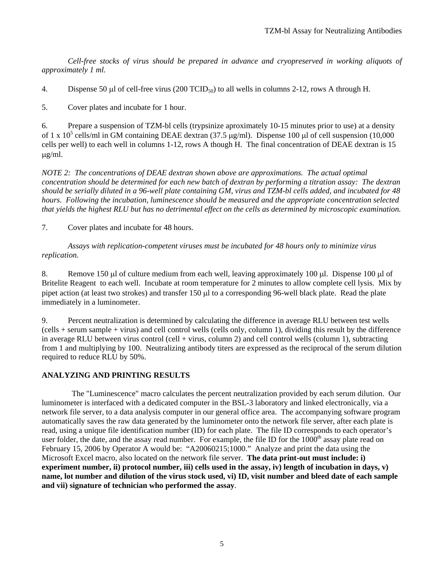*Cell-free stocks of virus should be prepared in advance and cryopreserved in working aliquots of approximately 1 ml.* 

4. Dispense 50 µl of cell-free virus (200 TCID<sub>50</sub>) to all wells in columns 2-12, rows A through H.

5. Cover plates and incubate for 1 hour.

6. Prepare a suspension of TZM-bl cells (trypsinize aproximately 10-15 minutes prior to use) at a density of 1 x  $10^5$  cells/ml in GM containing DEAE dextran (37.5  $\mu$ g/ml). Dispense 100  $\mu$ l of cell suspension (10,000 cells per well) to each well in columns 1-12, rows A though H. The final concentration of DEAE dextran is 15 μg/ml.

*NOTE 2: The concentrations of DEAE dextran shown above are approximations. The actual optimal concentration should be determined for each new batch of dextran by performing a titration assay: The dextran should be serially diluted in a 96-well plate containing GM, virus and TZM-bl cells added, and incubated for 48 hours. Following the incubation, luminescence should be measured and the appropriate concentration selected that yields the highest RLU but has no detrimental effect on the cells as determined by microscopic examination.* 

7. Cover plates and incubate for 48 hours.

*Assays with replication-competent viruses must be incubated for 48 hours only to minimize virus replication.*

8. Remove 150 μl of culture medium from each well, leaving approximately 100 μl. Dispense 100 μl of Britelite Reagent to each well. Incubate at room temperature for 2 minutes to allow complete cell lysis. Mix by pipet action (at least two strokes) and transfer 150 μl to a corresponding 96-well black plate. Read the plate immediately in a luminometer.

9. Percent neutralization is determined by calculating the difference in average RLU between test wells (cells + serum sample + virus) and cell control wells (cells only, column 1), dividing this result by the difference in average RLU between virus control (cell + virus, column 2) and cell control wells (column 1), subtracting from 1 and multiplying by 100. Neutralizing antibody titers are expressed as the reciprocal of the serum dilution required to reduce RLU by 50%.

#### **ANALYZING AND PRINTING RESULTS**

 The "Luminescence" macro calculates the percent neutralization provided by each serum dilution. Our luminometer is interfaced with a dedicated computer in the BSL-3 laboratory and linked electronically, via a network file server, to a data analysis computer in our general office area. The accompanying software program automatically saves the raw data generated by the luminometer onto the network file server, after each plate is read, using a unique file identification number (ID) for each plate. The file ID corresponds to each operator's user folder, the date, and the assay read number. For example, the file ID for the  $1000<sup>th</sup>$  assay plate read on February 15, 2006 by Operator A would be: "A20060215;1000." Analyze and print the data using the Microsoft Excel macro, also located on the network file server. **The data print-out must include: i) experiment number, ii) protocol number, iii) cells used in the assay, iv) length of incubation in days, v) name, lot number and dilution of the virus stock used, vi) ID, visit number and bleed date of each sample and vii) signature of technician who performed the assay**.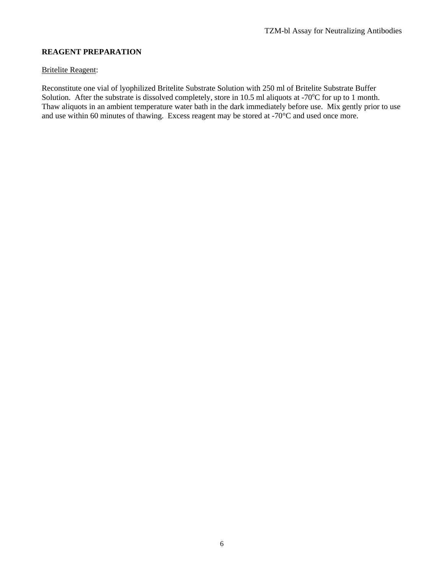## **REAGENT PREPARATION**

#### Britelite Reagent:

Reconstitute one vial of lyophilized Britelite Substrate Solution with 250 ml of Britelite Substrate Buffer Solution. After the substrate is dissolved completely, store in 10.5 ml aliquots at -70°C for up to 1 month. Thaw aliquots in an ambient temperature water bath in the dark immediately before use. Mix gently prior to use and use within 60 minutes of thawing. Excess reagent may be stored at -70°C and used once more.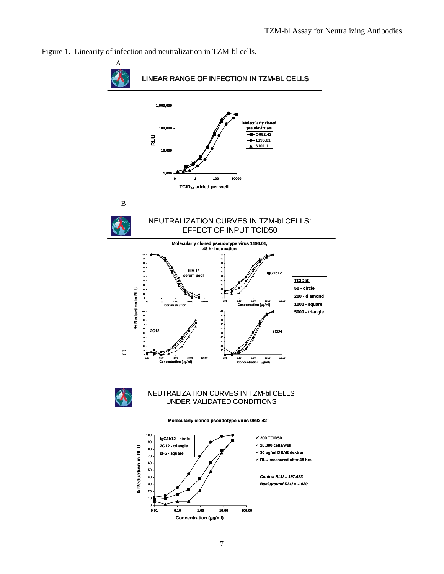

Figure 1. Linearity of infection and neutralization in TZM-bl cells.

**Concentration (**μ**g/ml)**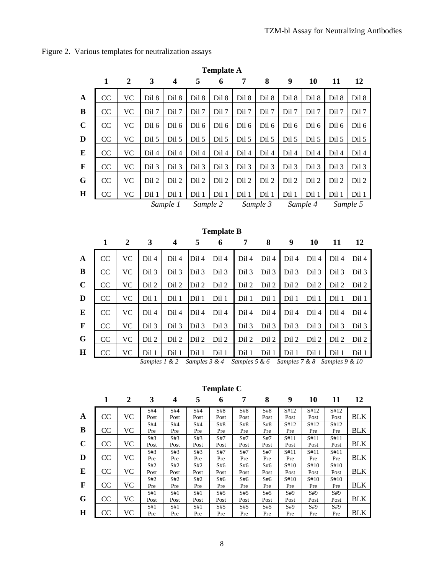|              | $\mathbf{1}$ | $\overline{2}$   | 3     | 4                       | 5        | 6                 | 7     | 8        | 9     | 10       | 11    | 12       |
|--------------|--------------|------------------|-------|-------------------------|----------|-------------------|-------|----------|-------|----------|-------|----------|
| $\mathbf{A}$ | CC           | <b>VC</b>        | Dil 8 | Dil 8                   | Dil 8    | Dil 8             | Dil 8 | Dil 8    | Dil 8 | Dil 8    | Dil 8 | Dil 8    |
| $\bf{B}$     | CC           | <b>VC</b>        | Dil 7 | Dil 7                   | Dil 7    | Dil 7             | Dil 7 | Dil 7    | Dil 7 | Dil 7    | Dil 7 | Dil 7    |
| $\mathbf C$  | CC           | <b>VC</b>        | Dil 6 | Dil 6                   | Dil 6    | Dil 6             | Dil 6 | Dil 6    | Dil 6 | Dil 6    | Dil 6 | Dil 6    |
| D            | CC           | <b>VC</b>        | Dil 5 | Dil 5                   | Dil 5    | Dil 5             | Dil 5 | Dil 5    | Dil 5 | Dil 5    | Dil 5 | Dil 5    |
| $\bf{E}$     | CC           | <b>VC</b>        | Dil 4 | Dil 4                   | Dil 4    | Dil 4             | Dil 4 | Dil 4    | Dil 4 | Dil 4    | Dil 4 | Dil 4    |
| $\mathbf F$  | CC           | <b>VC</b>        | Dil 3 | Dil 3                   | Dil 3    | Dil 3             | Dil 3 | Dil 3    | Dil 3 | Dil 3    | Dil 3 | Dil 3    |
| $\mathbf G$  | CC           | <b>VC</b>        | Dil 2 | Dil 2                   | Dil 2    | Dil 2             | Dil 2 | Dil 2    | Dil 2 | Dil 2    | Dil 2 | Dil 2    |
| H            | CC           | <b>VC</b>        | Dil 1 | Dil 1                   | Dil 1    | Dil 1             | Dil 1 | Dil 1    | Dil 1 | Dil 1    | Dil 1 | Dil 1    |
|              |              |                  |       | Sample 1                | Sample 2 |                   |       | Sample 3 |       | Sample 4 |       | Sample 5 |
|              |              |                  |       |                         |          |                   |       |          |       |          |       |          |
|              |              |                  |       |                         |          |                   |       |          |       |          |       |          |
|              |              |                  |       |                         |          | <b>Template B</b> |       |          |       |          |       |          |
|              | $\mathbf{1}$ | $\boldsymbol{2}$ | 3     | $\overline{\mathbf{4}}$ | 5        | 6                 | 7     | 8        | 9     | 10       | 11    | 12       |
| $\mathbf A$  | CC           | <b>VC</b>        | Dil 4 | Dil 4                   | Dil 4    | Dil 4             | Dil 4 | Dil 4    | Dil 4 | Dil 4    | Dil 4 | Dil 4    |
| $\bf{B}$     | CC           | VC               | Dil 3 | Dil 3                   | Dil 3    | Dil 3             | Dil 3 | Dil 3    | Dil 3 | Dil 3    | Dil 3 | Dil 3    |
| $\mathbf C$  | CC           | <b>VC</b>        | Dil 2 | Dil 2                   | Dil 2    | Dil 2             | Dil 2 | Dil 2    | Dil 2 | Dil 2    | Dil 2 | Dil 2    |
| D            | CC           | <b>VC</b>        | Dil 1 | Dil 1                   | Dil 1    | Dil 1             | Dil 1 | Dil 1    | Dil 1 | Dil 1    | Dil 1 | Dil 1    |
| ${\bf E}$    | CC           | <b>VC</b>        | Dil 4 | Dil 4                   | Dil 4    | Dil 4             | Dil 4 | Dil 4    | Dil 4 | Dil 4    | Dil 4 | Dil 4    |
| $\mathbf F$  | CC           | <b>VC</b>        | Dil 3 | Dil 3                   | Dil 3    | Dil 3             | Dil 3 | Dil 3    | Dil 3 | Dil 3    | Dil 3 | Dil 3    |
| $\bf G$      | CC           | <b>VC</b>        | Dil 2 | Dil 2                   | Dil 2    | Dil 2             | Dil 2 | Dil 2    | Dil 2 | Dil 2    | Dil 2 | Dil 2    |

**Template A** 

Figure 2. Various templates for neutralization assays

*Samples 1 & 2 Samples 3 & 4 Samples 5 & 6 Samples 7 & 8 Samples 9 & 10* 

**Template C** 

|   |               | 2  | 3    | 4    | 5    | 6    | 7    | 8    | 9    | 10   | 11   | 12         |
|---|---------------|----|------|------|------|------|------|------|------|------|------|------------|
|   |               |    | S#4  | S#4  | S#4  | S#8  | S#8  | S#8  | S#12 | S#12 | S#12 |            |
| A | <b>CC</b>     | VC | Post | Post | Post | Post | Post | Post | Post | Post | Post | <b>BLK</b> |
|   |               |    | S#4  | S#4  | S#4  | S#8  | S#8  | S#8  | S#12 | S#12 | S#12 |            |
| B | CC            | VC | Pre  | Pre  | Pre  | Pre  | Pre  | Pre  | Pre  | Pre  | Pre  | BLK        |
|   |               |    | S#3  | S#3  | S#3  | S#7  | S#7  | S#7  | S#11 | S#11 | S#11 |            |
| C | <sub>CC</sub> | VC | Post | Post | Post | Post | Post | Post | Post | Post | Post | BLK        |
|   |               |    | S#3  | S#3  | S#3  | S#7  | S#7  | S#7  | S#11 | S#11 | S#11 |            |
| D | <b>CC</b>     | VC | Pre  | Pre  | Pre  | Pre  | Pre  | Pre  | Pre  | Pre  | Pre  | BLK        |
|   |               |    | S#2  | S#2  | S#2  | \$46 | S#6  | \$46 | S#10 | S#10 | S#10 |            |
| E | <b>CC</b>     | VC | Post | Post | Post | Post | Post | Post | Post | Post | Post | <b>BLK</b> |
|   |               |    | S#2  | S#2  | S#2  | S#6  | \$46 | \$46 | S#10 | S#10 | S#10 |            |
| F | <b>CC</b>     | VC | Pre  | Pre  | Pre  | Pre  | Pre  | Pre  | Pre  | Pre  | Pre  | BLK        |
|   |               |    | S#1  | S#1  | S#1  | S#5  | S#5  | S#5  | S#9  | S#9  | S#9  |            |
| G | <b>CC</b>     | VC | Post | Post | Post | Post | Post | Post | Post | Post | Post | BLK        |
|   |               |    | S#1  | S#1  | S#1  | S#5  | S#5  | S#5  | S#9  | S#9  | S#9  |            |
| Н | <sub>CC</sub> | VC | Pre  | Pre  | Pre  | Pre  | Pre  | Pre  | Pre  | Pre  | Pre  | BLK        |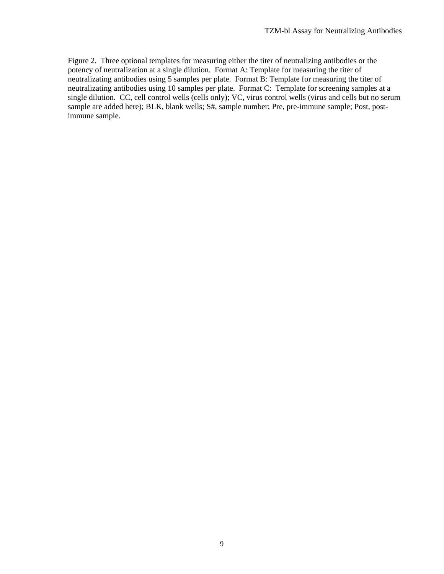Figure 2. Three optional templates for measuring either the titer of neutralizing antibodies or the potency of neutralization at a single dilution. Format A: Template for measuring the titer of neutralizating antibodies using 5 samples per plate. Format B: Template for measuring the titer of neutralizating antibodies using 10 samples per plate. Format C: Template for screening samples at a single dilution. CC, cell control wells (cells only); VC, virus control wells (virus and cells but no serum sample are added here); BLK, blank wells; S#, sample number; Pre, pre-immune sample; Post, postimmune sample.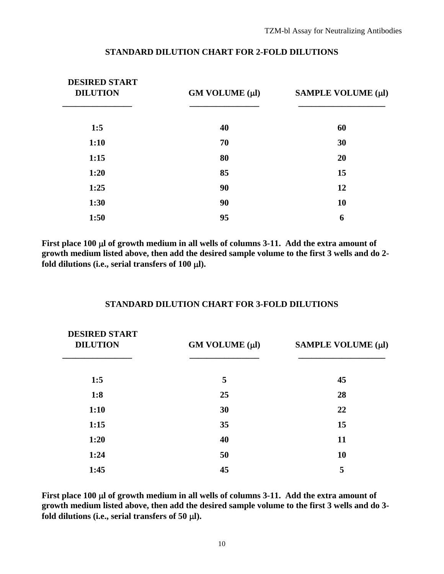| <b>DESIRED START</b><br><b>DILUTION</b> | $GM$ VOLUME $(\mu l)$ | SAMPLE VOLUME (µl) |  |  |
|-----------------------------------------|-----------------------|--------------------|--|--|
| 1:5                                     | 40                    | 60                 |  |  |
| 1:10                                    | 70                    | 30                 |  |  |
| 1:15                                    | 80                    | 20                 |  |  |
| 1:20                                    | 85                    | 15                 |  |  |
| 1:25                                    | 90                    | 12                 |  |  |
| 1:30                                    | 90                    | 10                 |  |  |
| 1:50                                    | 95                    | 6                  |  |  |

#### **STANDARD DILUTION CHART FOR 2-FOLD DILUTIONS**

**First place 100** μ**l of growth medium in all wells of columns 3-11. Add the extra amount of growth medium listed above, then add the desired sample volume to the first 3 wells and do 2 fold dilutions (i.e., serial transfers of 100** μ**l).** 

#### **STANDARD DILUTION CHART FOR 3-FOLD DILUTIONS**

| <b>DESIRED START</b><br><b>DILUTION</b> | GM VOLUME (µl) | SAMPLE VOLUME (µl) |  |  |
|-----------------------------------------|----------------|--------------------|--|--|
| 1:5                                     | 5              | 45                 |  |  |
| 1:8                                     | 25             | 28                 |  |  |
| 1:10                                    | 30             | 22                 |  |  |
| 1:15                                    | 35             | 15                 |  |  |
| 1:20                                    | 40             | 11                 |  |  |
| 1:24                                    | 50             | 10                 |  |  |
| 1:45                                    | 45             | 5                  |  |  |

**First place 100** μ**l of growth medium in all wells of columns 3-11. Add the extra amount of growth medium listed above, then add the desired sample volume to the first 3 wells and do 3 fold dilutions (i.e., serial transfers of 50** μ**l).**